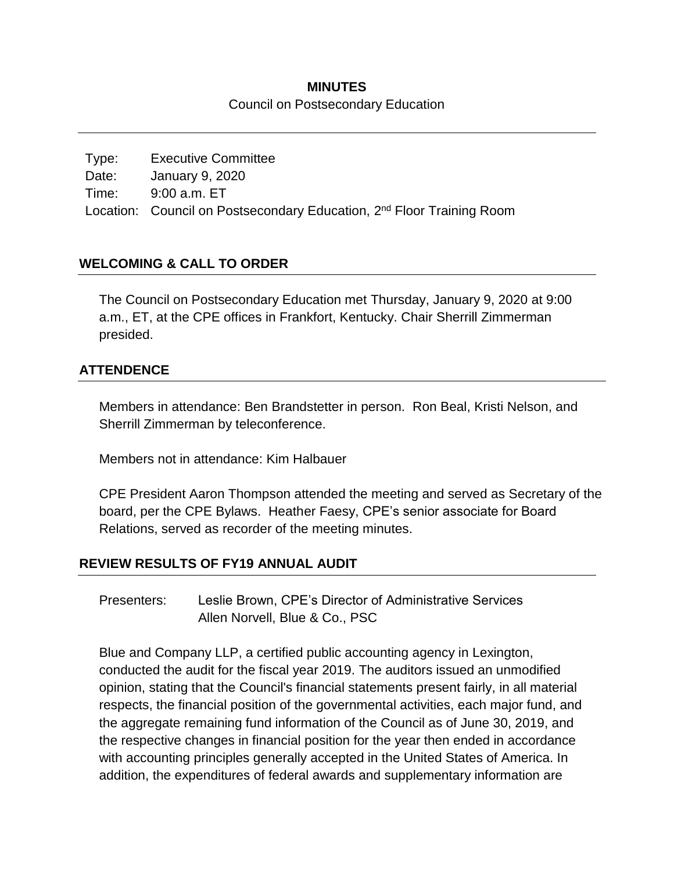## **MINUTES** Council on Postsecondary Education

Type: Executive Committee Date: January 9, 2020 Time: 9:00 a.m. ET Location: Council on Postsecondary Education, 2<sup>nd</sup> Floor Training Room

# **WELCOMING & CALL TO ORDER**

The Council on Postsecondary Education met Thursday, January 9, 2020 at 9:00 a.m., ET, at the CPE offices in Frankfort, Kentucky. Chair Sherrill Zimmerman presided.

## **ATTENDENCE**

Members in attendance: Ben Brandstetter in person. Ron Beal, Kristi Nelson, and Sherrill Zimmerman by teleconference.

Members not in attendance: Kim Halbauer

CPE President Aaron Thompson attended the meeting and served as Secretary of the board, per the CPE Bylaws. Heather Faesy, CPE's senior associate for Board Relations, served as recorder of the meeting minutes.

## **REVIEW RESULTS OF FY19 ANNUAL AUDIT**

Presenters: Leslie Brown, CPE's Director of Administrative Services Allen Norvell, Blue & Co., PSC

Blue and Company LLP, a certified public accounting agency in Lexington, conducted the audit for the fiscal year 2019. The auditors issued an unmodified opinion, stating that the Council's financial statements present fairly, in all material respects, the financial position of the governmental activities, each major fund, and the aggregate remaining fund information of the Council as of June 30, 2019, and the respective changes in financial position for the year then ended in accordance with accounting principles generally accepted in the United States of America. In addition, the expenditures of federal awards and supplementary information are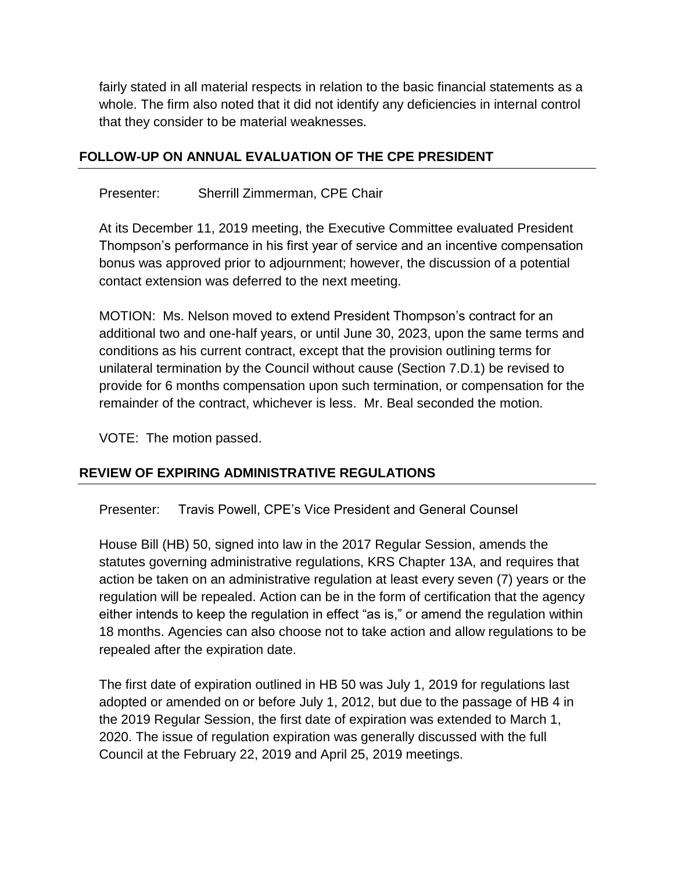fairly stated in all material respects in relation to the basic financial statements as a whole. The firm also noted that it did not identify any deficiencies in internal control that they consider to be material weaknesses.

## **FOLLOW-UP ON ANNUAL EVALUATION OF THE CPE PRESIDENT**

Presenter: Sherrill Zimmerman, CPE Chair

At its December 11, 2019 meeting, the Executive Committee evaluated President Thompson's performance in his first year of service and an incentive compensation bonus was approved prior to adjournment; however, the discussion of a potential contact extension was deferred to the next meeting.

MOTION: Ms. Nelson moved to extend President Thompson's contract for an additional two and one-half years, or until June 30, 2023, upon the same terms and conditions as his current contract, except that the provision outlining terms for unilateral termination by the Council without cause (Section 7.D.1) be revised to provide for 6 months compensation upon such termination, or compensation for the remainder of the contract, whichever is less. Mr. Beal seconded the motion.

VOTE: The motion passed.

## **REVIEW OF EXPIRING ADMINISTRATIVE REGULATIONS**

Presenter: Travis Powell, CPE's Vice President and General Counsel

House Bill (HB) 50, signed into law in the 2017 Regular Session, amends the statutes governing administrative regulations, KRS Chapter 13A, and requires that action be taken on an administrative regulation at least every seven (7) years or the regulation will be repealed. Action can be in the form of certification that the agency either intends to keep the regulation in effect "as is," or amend the regulation within 18 months. Agencies can also choose not to take action and allow regulations to be repealed after the expiration date.

The first date of expiration outlined in HB 50 was July 1, 2019 for regulations last adopted or amended on or before July 1, 2012, but due to the passage of HB 4 in the 2019 Regular Session, the first date of expiration was extended to March 1, 2020. The issue of regulation expiration was generally discussed with the full Council at the February 22, 2019 and April 25, 2019 meetings.